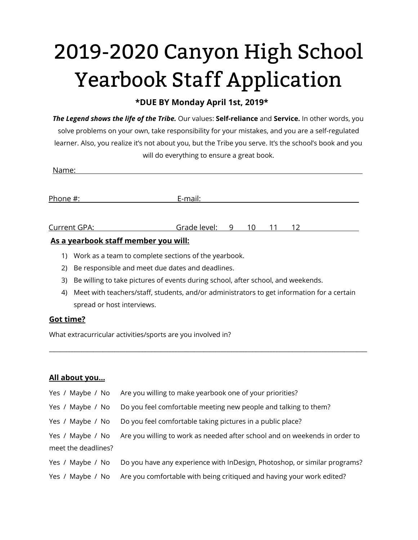# 2019-2020 Canyon High School Yearbook Staff Application

# **\*DUE BY Monday April 1st, 2019\***

*The Legend shows the life of the Tribe.* Our values: **Self-reliance** and **Service.** In other words, you solve problems on your own, take responsibility for your mistakes, and you are a self-regulated learner. Also, you realize it's not about you, but the Tribe you serve. It's the school's book and you will do everything to ensure a great book.

| As a waaybook staff mone hay you will. |              |   |                 |    |    |  |  |
|----------------------------------------|--------------|---|-----------------|----|----|--|--|
| Current GPA:                           | Grade level: | 9 | $\overline{10}$ | 11 | 12 |  |  |
|                                        |              |   |                 |    |    |  |  |
| Phone #:                               | E-mail:      |   |                 |    |    |  |  |
| Name:                                  |              |   |                 |    |    |  |  |

## .**As a yearbook staff member you will:**

- 1) Work as a team to complete sections of the yearbook.
- 2) Be responsible and meet due dates and deadlines.
- 3) Be willing to take pictures of events during school, after school, and weekends.
- 4) Meet with teachers/staff, students, and/or administrators to get information for a certain spread or host interviews.

\_\_\_\_\_\_\_\_\_\_\_\_\_\_\_\_\_\_\_\_\_\_\_\_\_\_\_\_\_\_\_\_\_\_\_\_\_\_\_\_\_\_\_\_\_\_\_\_\_\_\_\_\_\_\_\_\_\_\_\_\_\_\_\_\_\_\_\_\_\_\_\_\_\_\_\_\_\_\_\_\_\_\_\_\_\_\_\_\_\_\_\_\_\_\_\_\_\_\_\_\_\_\_\_

## **Got time?**

What extracurricular activities/sports are you involved in?

#### **All about you…**

| Yes / Maybe / No    | Are you willing to make yearbook one of your priorities?                   |
|---------------------|----------------------------------------------------------------------------|
| Yes / Maybe / No    | Do you feel comfortable meeting new people and talking to them?            |
| Yes / Maybe / No    | Do you feel comfortable taking pictures in a public place?                 |
| Yes / Maybe / No    | Are you willing to work as needed after school and on weekends in order to |
| meet the deadlines? |                                                                            |
| Yes / Maybe / No    | Do you have any experience with InDesign, Photoshop, or similar programs?  |
| Yes / Maybe / No    | Are you comfortable with being critiqued and having your work edited?      |